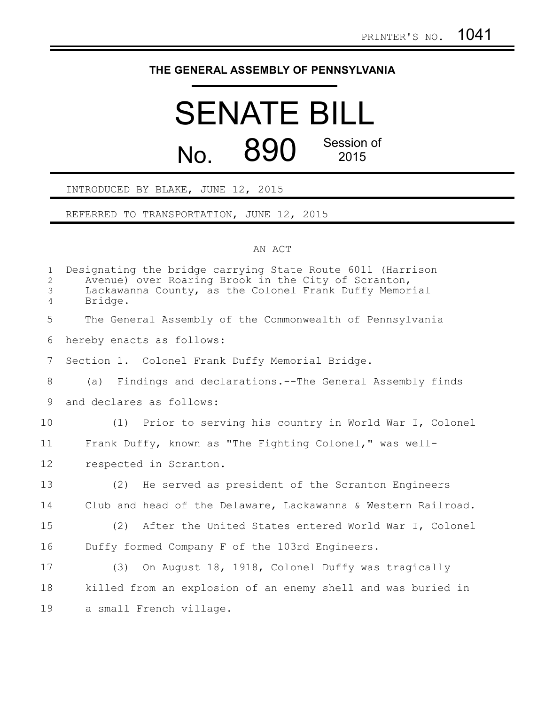## **THE GENERAL ASSEMBLY OF PENNSYLVANIA**

## SENATE BILL No. 890 Session of 2015

## INTRODUCED BY BLAKE, JUNE 12, 2015

REFERRED TO TRANSPORTATION, JUNE 12, 2015

## AN ACT

| $\mathbf{1}$<br>$\overline{c}$<br>3<br>$\overline{4}$ | Designating the bridge carrying State Route 6011 (Harrison<br>Avenue) over Roaring Brook in the City of Scranton,<br>Lackawanna County, as the Colonel Frank Duffy Memorial<br>Bridge. |
|-------------------------------------------------------|----------------------------------------------------------------------------------------------------------------------------------------------------------------------------------------|
| 5                                                     | The General Assembly of the Commonwealth of Pennsylvania                                                                                                                               |
| 6                                                     | hereby enacts as follows:                                                                                                                                                              |
| 7                                                     | Section 1. Colonel Frank Duffy Memorial Bridge.                                                                                                                                        |
| 8                                                     | (a) Findings and declarations.--The General Assembly finds                                                                                                                             |
| 9                                                     | and declares as follows:                                                                                                                                                               |
| 10                                                    | (1) Prior to serving his country in World War I, Colonel                                                                                                                               |
| 11                                                    | Frank Duffy, known as "The Fighting Colonel," was well-                                                                                                                                |
| 12                                                    | respected in Scranton.                                                                                                                                                                 |
| 13                                                    | (2) He served as president of the Scranton Engineers                                                                                                                                   |
| 14                                                    | Club and head of the Delaware, Lackawanna & Western Railroad.                                                                                                                          |
| 15                                                    | (2) After the United States entered World War I, Colonel                                                                                                                               |
| 16                                                    | Duffy formed Company F of the 103rd Engineers.                                                                                                                                         |
| 17                                                    | On August 18, 1918, Colonel Duffy was tragically<br>(3)                                                                                                                                |
| 18                                                    | killed from an explosion of an enemy shell and was buried in                                                                                                                           |
| 19                                                    | a small French village.                                                                                                                                                                |
|                                                       |                                                                                                                                                                                        |